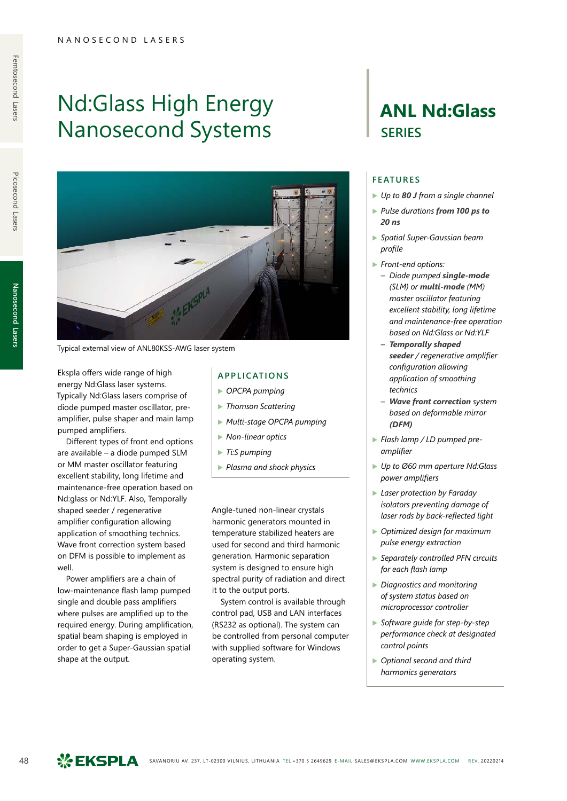# Nd:Glass High Energy Nanosecond Systems



Typical external view of ANL80KSS-AWG laser system

Ekspla offers wide range of high energy Nd:Glass laser systems. Typically Nd:Glass lasers comprise of diode pumped master oscillator, preamplifier, pulse shaper and main lamp pumped amplifiers.

Different types of front end options are available – a diode pumped SLM or MM master oscillator featuring excellent stability, long lifetime and maintenance-free operation based on Nd:glass or Nd:YLF. Also, Temporally shaped seeder / regenerative amplifier configuration allowing application of smoothing technics. Wave front correction system based on DFM is possible to implement as well.

Power amplifiers are a chain of low-maintenance flash lamp pumped single and double pass amplifiers where pulses are amplified up to the required energy. During amplification, spatial beam shaping is employed in order to get a Super-Gaussian spatial shape at the output.

# **APPLICATIONS**

- ▶ *OPCPA pumping*
- ▶ *Thomson Scattering*
- ▶ *Multi-stage OPCPA pumping*
- ▶ *Non-linear optics*
- ▶ *Ti:S pumping*
- ▶ *Plasma and shock physics*

Angle-tuned non-linear crystals harmonic generators mounted in temperature stabilized heaters are used for second and third harmonic generation. Harmonic separation system is designed to ensure high spectral purity of radiation and direct it to the output ports.

System control is available through control pad, USB and LAN interfaces (RS232 as optional). The system can be controlled from personal computer with supplied software for Windows operating system.

# **ANL Nd:Glass SERIES**

### **FEATURES**

- ▶ *Up to 80 J from a single channel*
- ▶ *Pulse durations from 100 ps to 20 ns*
- ▶ *Spatial Super-Gaussian beam profile*
- ▶ *Front-end options:*
	- *– Diode pumped single-mode (SLM) or multi-mode (MM) master oscillator featuring excellent stability, long lifetime and maintenance-free operation based on Nd:Glass or Nd:YLF*
	- *– Temporally shaped seeder / regenerative amplifier configuration allowing application of smoothing technics*
	- *– Wave front correction system based on deformable mirror (DFM)*
- ▶ *Flash lamp / LD pumped preamplifier*
- ▶ *Up to Ø60 mm aperture Nd:Glass power amplifiers*
- ▶ *Laser protection by Faraday isolators preventing damage of laser rods by back-reflected light*
- ▶ *Optimized design for maximum pulse energy extraction*
- ▶ *Separately controlled PFN circuits for each flash lamp*
- ▶ *Diagnostics and monitoring of system status based on microprocessor controller*
- ▶ *Software guide for step-by-step performance check at designated control points*
- ▶ *Optional second and third harmonics generators*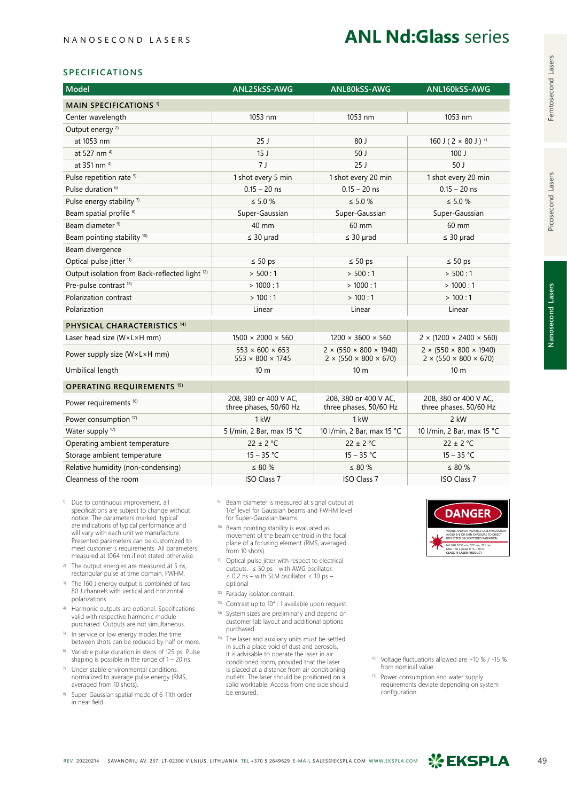# **SPECIFICATIONS**

| Model                                                     | ANL25kSS-AWG                                                | ANL80kSS-AWG                                                                      | ANL160kSS-AWG                                                                     |
|-----------------------------------------------------------|-------------------------------------------------------------|-----------------------------------------------------------------------------------|-----------------------------------------------------------------------------------|
| <b>MAIN SPECIFICATIONS 1)</b>                             |                                                             |                                                                                   |                                                                                   |
| Center wavelength                                         | 1053 nm                                                     | 1053 nm                                                                           | 1053 nm                                                                           |
| Output energy <sup>2)</sup>                               |                                                             |                                                                                   |                                                                                   |
| at 1053 nm                                                | 25J                                                         | 80J                                                                               | 160 J ( $2 \times 80$ J) <sup>3)</sup>                                            |
| at 527 nm <sup>4)</sup>                                   | 15 <sub>J</sub>                                             | 50J                                                                               | 100J                                                                              |
| at 351 nm <sup>4)</sup>                                   | 7 <sub>1</sub>                                              | 25J                                                                               | 50 <sub>1</sub>                                                                   |
| Pulse repetition rate <sup>5)</sup>                       | 1 shot every 5 min                                          | 1 shot every 20 min                                                               | 1 shot every 20 min                                                               |
| Pulse duration <sup>6)</sup>                              | $0.15 - 20$ ns                                              | $0.15 - 20$ ns                                                                    | $0.15 - 20$ ns                                                                    |
| Pulse energy stability <sup>7)</sup>                      | $\leq 5.0 \%$                                               | $\leq 5.0 \%$                                                                     | $\leq 5.0 \%$                                                                     |
| Beam spatial profile <sup>8)</sup>                        | Super-Gaussian                                              | Super-Gaussian                                                                    | Super-Gaussian                                                                    |
| Beam diameter <sup>9)</sup>                               | 40 mm                                                       | 60 mm                                                                             | 60 mm                                                                             |
| Beam pointing stability 10)                               | $\leq$ 30 µrad                                              | $\leq$ 30 µrad                                                                    | $\leq$ 30 µrad                                                                    |
| Beam divergence                                           |                                                             |                                                                                   |                                                                                   |
| Optical pulse jitter <sup>11)</sup>                       | $\leq 50$ ps                                                | $\leq 50$ ps                                                                      | $\leq 50$ ps                                                                      |
| Output isolation from Back-reflected light <sup>12)</sup> | > 500:1                                                     | > 500:1                                                                           | > 500:1                                                                           |
| Pre-pulse contrast <sup>13)</sup>                         | >1000:1                                                     | >1000:1                                                                           | >1000:1                                                                           |
| Polarization contrast                                     | >100:1                                                      | >100:1                                                                            | >100:1                                                                            |
| Polarization                                              | Linear                                                      | Linear                                                                            | Linear                                                                            |
| PHYSICAL CHARACTERISTICS <sup>14)</sup>                   |                                                             |                                                                                   |                                                                                   |
| Laser head size (WxLxH mm)                                | $1500 \times 2000 \times 560$                               | $1200 \times 3600 \times 560$                                                     | $2 \times (1200 \times 2400 \times 560)$                                          |
| Power supply size (W×L×H mm)                              | $553 \times 600 \times 653$<br>$553 \times 800 \times 1745$ | $2 \times (550 \times 800 \times 1940)$<br>$2 \times (550 \times 800 \times 670)$ | $2 \times (550 \times 800 \times 1940)$<br>$2 \times (550 \times 800 \times 670)$ |
| Umbilical length                                          | 10 <sub>m</sub>                                             | 10 <sub>m</sub>                                                                   | 10 <sub>m</sub>                                                                   |
| <b>OPERATING REQUIREMENTS 15)</b>                         |                                                             |                                                                                   |                                                                                   |
| Power requirements <sup>16)</sup>                         | 208, 380 or 400 V AC,<br>three phases, 50/60 Hz             | 208, 380 or 400 V AC,<br>three phases, 50/60 Hz                                   | 208, 380 or 400 V AC,<br>three phases, 50/60 Hz                                   |
| Power consumption <sup>17)</sup>                          | $1$ kW                                                      | $1$ kW                                                                            | 2 kW                                                                              |
| Water supply <sup>17)</sup>                               | 5 l/min, 2 Bar, max 15 °C                                   | 10 I/min, 2 Bar, max 15 °C                                                        | 10 I/min, 2 Bar, max 15 °C                                                        |
| Operating ambient temperature                             | $22 \pm 2$ °C                                               | $22 \pm 2$ °C                                                                     | $22 \pm 2$ °C                                                                     |
| Storage ambient temperature                               | $15 - 35 °C$                                                | $15 - 35 °C$                                                                      | $15 - 35 °C$                                                                      |
| Relative humidity (non-condensing)                        | $\leq 80 \%$                                                | $\leq 80 \%$                                                                      | $\leq 80 \%$                                                                      |
| Cleanness of the room                                     | <b>ISO Class 7</b>                                          | <b>ISO Class 7</b>                                                                | <b>ISO Class 7</b>                                                                |

- 1) Due to continuous improvement, all specifications are subject to change without notice. The parameters marked 'typical' are indications of typical performance and will vary with each unit we manufacture. Presented parameters can be customized to meet customer's requirements. All parameters measured at 1064 nm if not stated otherwise.
- <sup>2)</sup> The output energies are measured at 5 ns, rectangular pulse at time domain, FWHM.
- 3) The 160 J energy output is combined of two 80 J channels with vertical and horizontal polarizations.
- 4) Harmonic outputs are optional. Specifications valid with respective harmonic module purchased. Outputs are not simultaneous.
- 5) In service or low energy modes the time between shots can be reduced by half or more.
- 6) Variable pulse duration in steps of 125 ps. Pulse shaping is possible in the range of  $1 - 20$  ns.
- 7) Under stable environmental conditions, normalized to average pulse energy (RMS, averaged from 10 shots).
- Super-Gaussian spatial mode of 6-11th order in near field.
- 9) Beam diameter is measured at signal output at 1/e2 level for Gaussian beams and FWHM level for Super-Gaussian beams.
- 10) Beam pointing stability is evaluated as movement of the beam centroid in the focal plane of a focusing element (RMS, averaged from 10 shots).
- 11) Optical pulse jitter with respect to electrical outputs. ≤ 50 ps - with AWG oscillator. ≤ 0.2 ns – with SLM oscillator. ≤ 10 ps – optional
- 12) Faraday isolator contrast.
- <sup>13)</sup> Contrast up to 10<sup>4</sup> : 1 available upon request.
- 14) System sizes are preliminary and depend on customer lab layout and additional options
- purchased. 15) The laser and auxiliary units must be settled in such a place void of dust and aerosols. It is advisable to operate the laser in air conditioned room, provided that the laser is placed at a distance from air conditioning outlets. The laser should be positioned on a solid worktable. Access from one side should be ensured.



16) Voltage fluctuations allowed are +10 % / -15 % from nominal value.

17) Power consumption and water supply requirements deviate depending on system configuration.

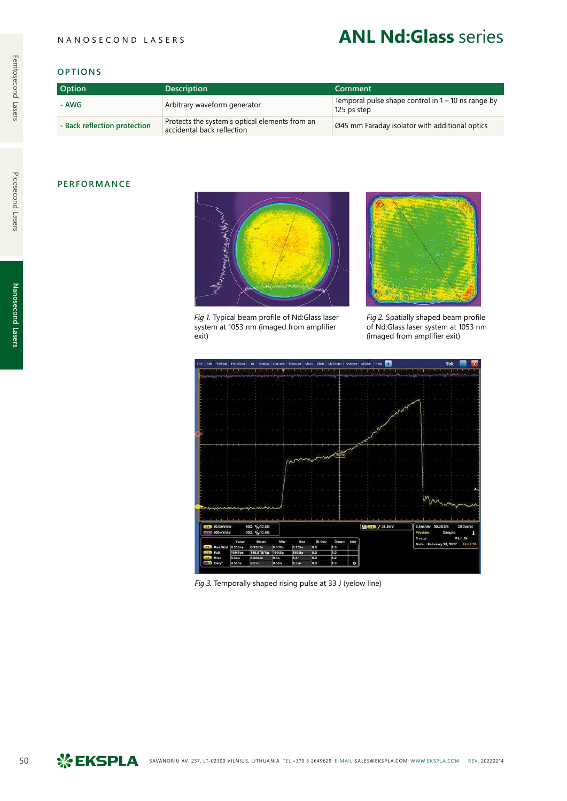# **ANL Nd:Glass** series

#### **OPTIONS**

| <b>Option</b>                | <b>Description</b>                                                           | Comment                                                             |
|------------------------------|------------------------------------------------------------------------------|---------------------------------------------------------------------|
| - AWG                        | Arbitrary waveform generator                                                 | Temporal pulse shape control in $1 - 10$ ns range by<br>125 ps step |
| - Back reflection protection | Protects the system's optical elements from an<br>accidental back reflection | Ø45 mm Faraday isolator with additional optics                      |

# **PERFORMANCE**



*Fig 1.* Typical beam profile of Nd:Glass laser system at 1053 nm (imaged from amplifier exit)



*Fig 2.* Spatially shaped beam profile of Nd:Glass laser system at 1053 nm (imaged from amplifier exit)



*Fig 3.* Temporally shaped rising pulse at 33 J (yelow line)